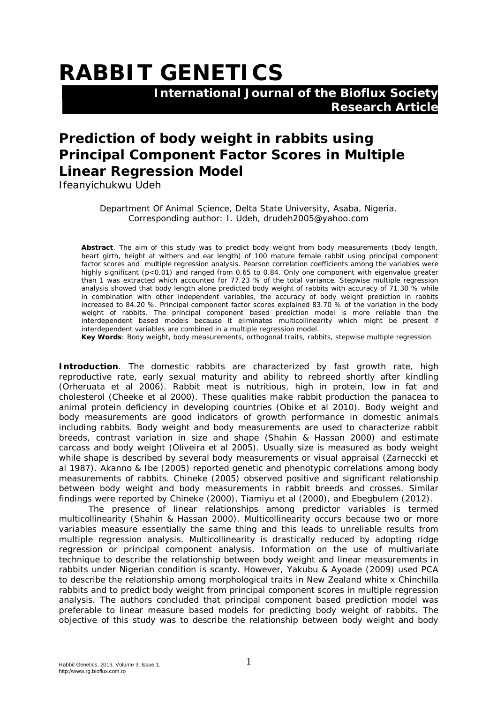## **RABBIT GENETICS**

 **International Journal of the Bioflux Society Research Article**

## **Prediction of body weight in rabbits using Principal Component Factor Scores in Multiple Linear Regression Model**

Ifeanyichukwu Udeh

Department Of Animal Science, Delta State University, Asaba, Nigeria. Corresponding author: I. Udeh, drudeh2005@yahoo.com

**Abstract**. The aim of this study was to predict body weight from body measurements (body length, heart girth, height at withers and ear length) of 100 mature female rabbit using principal component factor scores and multiple regression analysis. Pearson correlation coefficients among the variables were highly significant (p<0.01) and ranged from 0.65 to 0.84. Only one component with eigenvalue greater than 1 was extracted which accounted for 77.23 % of the total variance. Stepwise multiple regression analysis showed that body length alone predicted body weight of rabbits with accuracy of 71.30 % while in combination with other independent variables, the accuracy of body weight prediction in rabbits increased to 84.20 %. Principal component factor scores explained 83.70 % of the variation in the body weight of rabbits. The principal component based prediction model is more reliable than the interdependent based models because it eliminates multicollinearity which might be present if interdependent variables are combined in a multiple regression model.

**Key Words**: Body weight, body measurements, orthogonal traits, rabbits, stepwise multiple regression.

**Introduction**. The domestic rabbits are characterized by fast growth rate, high reproductive rate, early sexual maturity and ability to rebreed shortly after kindling (Orheruata et al 2006). Rabbit meat is nutritious, high in protein, low in fat and cholesterol (Cheeke et al 2000). These qualities make rabbit production the panacea to animal protein deficiency in developing countries (Obike et al 2010). Body weight and body measurements are good indicators of growth performance in domestic animals including rabbits. Body weight and body measurements are used to characterize rabbit breeds, contrast variation in size and shape (Shahin & Hassan 2000) and estimate carcass and body weight (Oliveira et al 2005). Usually size is measured as body weight while shape is described by several body measurements or visual appraisal (Zarneccki et al 1987). Akanno & Ibe (2005) reported genetic and phenotypic correlations among body measurements of rabbits. Chineke (2005) observed positive and significant relationship between body weight and body measurements in rabbit breeds and crosses. Similar findings were reported by Chineke (2000), Tiamiyu et al (2000), and Ebegbulem (2012).

The presence of linear relationships among predictor variables is termed multicollinearity (Shahin & Hassan 2000). Multicollinearity occurs because two or more variables measure essentially the same thing and this leads to unreliable results from multiple regression analysis. Multicollinearity is drastically reduced by adopting ridge regression or principal component analysis. Information on the use of multivariate technique to describe the relationship between body weight and linear measurements in rabbits under Nigerian condition is scanty. However, Yakubu & Ayoade (2009) used PCA to describe the relationship among morphological traits in New Zealand white x Chinchilla rabbits and to predict body weight from principal component scores in multiple regression analysis. The authors concluded that principal component based prediction model was preferable to linear measure based models for predicting body weight of rabbits. The objective of this study was to describe the relationship between body weight and body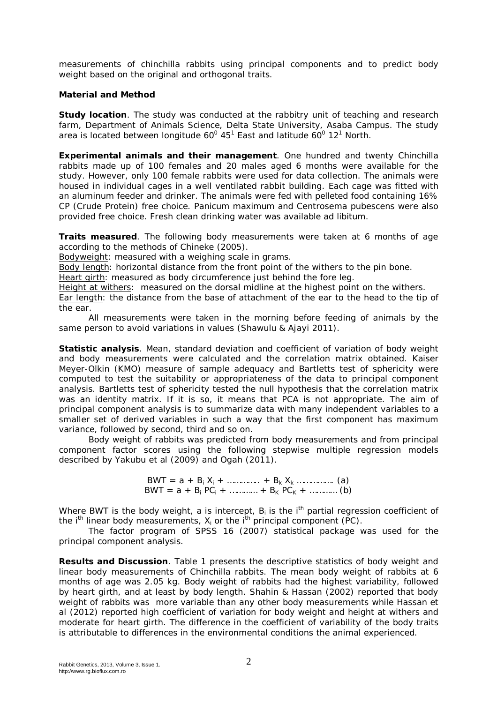measurements of chinchilla rabbits using principal components and to predict body weight based on the original and orthogonal traits.

## **Material and Method**

*Study location*. The study was conducted at the rabbitry unit of teaching and research farm, Department of Animals Science, Delta State University, Asaba Campus. The study area is located between longitude 60 $^{\circ}$  45<sup>1</sup> East and latitude 60 $^{\circ}$  12<sup>1</sup> North.

*Experimental animals and their management*. One hundred and twenty Chinchilla rabbits made up of 100 females and 20 males aged 6 months were available for the study. However, only 100 female rabbits were used for data collection. The animals were housed in individual cages in a well ventilated rabbit building. Each cage was fitted with an aluminum feeder and drinker. The animals were fed with pelleted food containing 16% CP (Crude Protein) free choice. *Panicum maximum* and *Centrosema pubescens* were also provided free choice. Fresh clean drinking water was available *ad libitum*.

*Traits measured*. The following body measurements were taken at 6 months of age according to the methods of Chineke (2005).

Bodyweight: measured with a weighing scale in grams.

Body length: horizontal distance from the front point of the withers to the pin bone.

Heart girth: measured as body circumference just behind the fore leg.

Height at withers: measured on the dorsal midline at the highest point on the withers.

Ear length: the distance from the base of attachment of the ear to the head to the tip of the ear.

All measurements were taken in the morning before feeding of animals by the same person to avoid variations in values (Shawulu & Ajayi 2011).

*Statistic analysis*. Mean, standard deviation and coefficient of variation of body weight and body measurements were calculated and the correlation matrix obtained. Kaiser Meyer-Olkin (KMO) measure of sample adequacy and Bartletts test of sphericity were computed to test the suitability or appropriateness of the data to principal component analysis. Bartletts test of sphericity tested the null hypothesis that the correlation matrix was an identity matrix. If it is so, it means that PCA is not appropriate. The aim of principal component analysis is to summarize data with many independent variables to a smaller set of derived variables in such a way that the first component has maximum variance, followed by second, third and so on.

Body weight of rabbits was predicted from body measurements and from principal component factor scores using the following stepwise multiple regression models described by Yakubu et al (2009) and Ogah (2011).

> $BWT = a + B_i X_i + \dots + B_k X_k \dots$  (a)  $BWT = a + B_i PC_i + \dots + B_K PC_K + \dots$  (b)

Where BWT is the body weight, a is intercept,  $B_i$  is the i<sup>th</sup> partial regression coefficient of the i<sup>th</sup> linear body measurements,  $X_i$  or the i<sup>th</sup> principal component (PC).

The factor program of SPSS 16 (2007) statistical package was used for the principal component analysis.

**Results and Discussion**. Table 1 presents the descriptive statistics of body weight and linear body measurements of Chinchilla rabbits. The mean body weight of rabbits at 6 months of age was 2.05 kg. Body weight of rabbits had the highest variability, followed by heart girth, and at least by body length. Shahin & Hassan (2002) reported that body weight of rabbits was more variable than any other body measurements while Hassan et al (2012) reported high coefficient of variation for body weight and height at withers and moderate for heart girth. The difference in the coefficient of variability of the body traits is attributable to differences in the environmental conditions the animal experienced.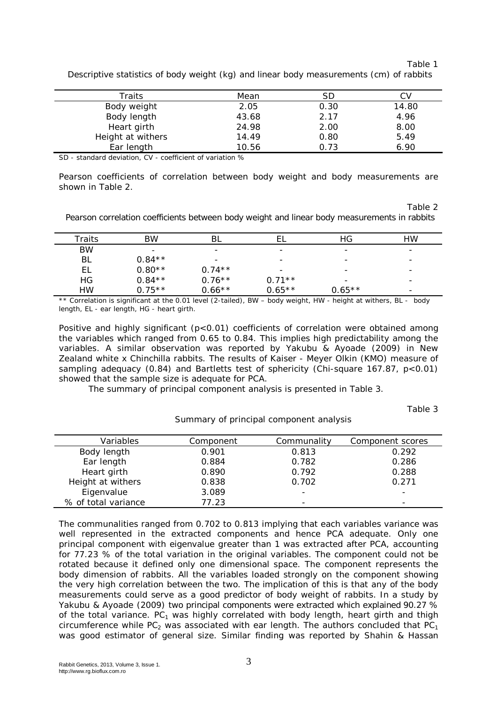Table 1

| Traits            | Mean  | SD   |       |
|-------------------|-------|------|-------|
| Body weight       | 2.05  | 0.30 | 14.80 |
| Body length       | 43.68 | 2.17 | 4.96  |
| Heart girth       | 24.98 | 2.00 | 8.00  |
| Height at withers | 14.49 | 0.80 | 5.49  |
| Ear length        | 10.56 | 0.73 | 6.90  |
|                   |       |      |       |

Descriptive statistics of body weight (kg) and linear body measurements (cm) of rabbits

SD - standard deviation, CV - coefficient of variation %

Pearson coefficients of correlation between body weight and body measurements are shown in Table 2.

Table 2

Pearson correlation coefficients between body weight and linear body measurements in rabbits

| Traits    | BW       | ΒL                       |                          | HG                       | НW                       |
|-----------|----------|--------------------------|--------------------------|--------------------------|--------------------------|
| <b>BW</b> | -        | $\overline{\phantom{0}}$ | $\overline{\phantom{0}}$ | $\overline{\phantom{0}}$ | $\overline{\phantom{0}}$ |
| BL        | $0.84**$ | $\overline{\phantom{0}}$ | $\overline{\phantom{0}}$ | $\overline{\phantom{0}}$ | $\overline{\phantom{0}}$ |
| EL        | $0.80**$ | $0.74**$                 | $\overline{\phantom{0}}$ | -                        | $\overline{\phantom{0}}$ |
| HG        | $0.84**$ | $0.76***$                | $0.71**$                 | $\overline{\phantom{0}}$ |                          |
| <b>HW</b> | $0.75**$ | $0.66***$                | $0.65**$                 | $0.65**$                 | -                        |

\*\* Correlation is significant at the 0.01 level (2-tailed), BW – body weight, HW - height at withers, BL - body length, EL - ear length, HG - heart girth.

Positive and highly significant (p<0.01) coefficients of correlation were obtained among the variables which ranged from 0.65 to 0.84. This implies high predictability among the variables. A similar observation was reported by Yakubu & Ayoade (2009) in New Zealand white x Chinchilla rabbits. The results of Kaiser - Meyer Olkin (KMO) measure of sampling adequacy (0.84) and Bartletts test of sphericity (Chi-square 167.87, p<0.01) showed that the sample size is adequate for PCA.

The summary of principal component analysis is presented in Table 3.

Table 3

| Variables           | Component | Communality | Component scores         |
|---------------------|-----------|-------------|--------------------------|
|                     |           |             |                          |
| Body length         | 0.901     | 0.813       | 0.292                    |
| Ear length          | 0.884     | 0.782       | 0.286                    |
| Heart girth         | 0.890     | 0.792       | 0.288                    |
| Height at withers   | 0.838     | 0.702       | 0.271                    |
| Eigenvalue          | 3.089     |             | -                        |
| % of total variance | 77.23     |             | $\overline{\phantom{0}}$ |

Summary of principal component analysis

The communalities ranged from 0.702 to 0.813 implying that each variables variance was well represented in the extracted components and hence PCA adequate. Only one principal component with eigenvalue greater than 1 was extracted after PCA, accounting for 77.23 % of the total variation in the original variables. The component could not be rotated because it defined only one dimensional space. The component represents the body dimension of rabbits. All the variables loaded strongly on the component showing the very high correlation between the two. The implication of this is that any of the body measurements could serve as a good predictor of body weight of rabbits. In a study by Yakubu & Ayoade (2009) two principal components were extracted which explained 90.27 % of the total variance.  $PC_1$  was highly correlated with body length, heart girth and thigh circumference while PC<sub>2</sub> was associated with ear length. The authors concluded that PC<sub>1</sub> was good estimator of general size. Similar finding was reported by Shahin & Hassan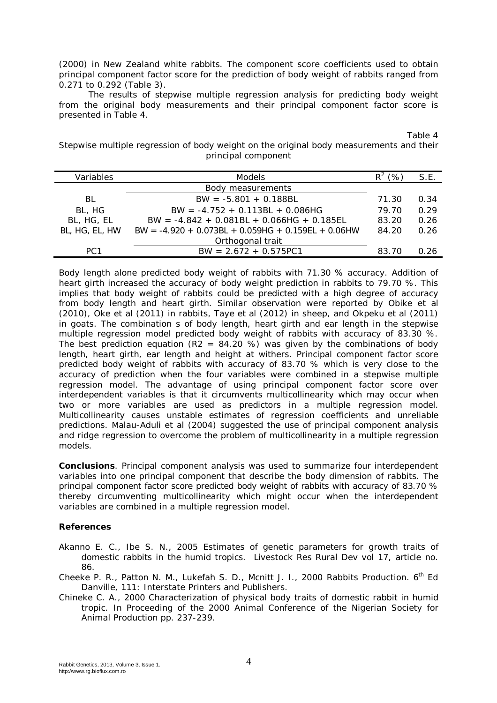(2000) in New Zealand white rabbits. The component score coefficients used to obtain principal component factor score for the prediction of body weight of rabbits ranged from 0.271 to 0.292 (Table 3).

The results of stepwise multiple regression analysis for predicting body weight from the original body measurements and their principal component factor score is presented in Table 4.

Table 4

Stepwise multiple regression of body weight on the original body measurements and their principal component

| Variables       | <b>Models</b>                                        | '%.   | S.E. |
|-----------------|------------------------------------------------------|-------|------|
|                 | <b>Body measurements</b>                             |       |      |
| BL              | $BW = -5.801 + 0.188BL$                              | 71.30 | 0.34 |
| BL, HG          | $BW = -4.752 + 0.113BL + 0.086HG$                    | 79.70 | 0.29 |
| BL, HG, EL      | $BW = -4.842 + 0.081BL + 0.066HG + 0.185EL$          | 83.20 | 0.26 |
| BL, HG, EL, HW  | $BW = -4.920 + 0.073BL + 0.059HG + 0.159EL + 0.06HW$ | 84.20 | 0.26 |
|                 | Orthogonal trait                                     |       |      |
| PC <sub>1</sub> | $BW = 2.672 + 0.575PC1$                              | 83.70 | 0.26 |

Body length alone predicted body weight of rabbits with 71.30 % accuracy. Addition of heart girth increased the accuracy of body weight prediction in rabbits to 79.70 %. This implies that body weight of rabbits could be predicted with a high degree of accuracy from body length and heart girth. Similar observation were reported by Obike et al (2010), Oke et al (2011) in rabbits, Taye et al (2012) in sheep, and Okpeku et al (2011) in goats. The combination s of body length, heart girth and ear length in the stepwise multiple regression model predicted body weight of rabbits with accuracy of 83.30 %. The best prediction equation (R2 = 84.20 %) was given by the combinations of body length, heart girth, ear length and height at withers. Principal component factor score predicted body weight of rabbits with accuracy of 83.70 % which is very close to the accuracy of prediction when the four variables were combined in a stepwise multiple regression model. The advantage of using principal component factor score over interdependent variables is that it circumvents multicollinearity which may occur when two or more variables are used as predictors in a multiple regression model. Multicollinearity causes unstable estimates of regression coefficients and unreliable predictions. Malau-Aduli et al (2004) suggested the use of principal component analysis and ridge regression to overcome the problem of multicollinearity in a multiple regression models.

**Conclusions**. Principal component analysis was used to summarize four interdependent variables into one principal component that describe the body dimension of rabbits. The principal component factor score predicted body weight of rabbits with accuracy of 83.70 % thereby circumventing multicollinearity which might occur when the interdependent variables are combined in a multiple regression model.

## **References**

Akanno E. C., Ibe S. N., 2005 Estimates of genetic parameters for growth traits of domestic rabbits in the humid tropics. Livestock Res Rural Dev vol 17, article no. 86.

- Cheeke P. R., Patton N. M., Lukefah S. D., Mcnitt J. I., 2000 Rabbits Production. 6<sup>th</sup> Ed Danville, 111: Interstate Printers and Publishers.
- Chineke C. A., 2000 Characterization of physical body traits of domestic rabbit in humid tropic. In Proceeding of the 2000 Animal Conference of the Nigerian Society for Animal Production pp. 237-239.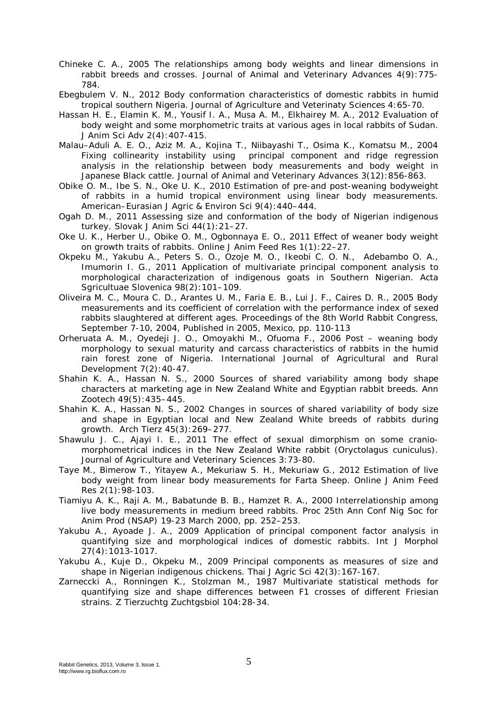- Chineke C. A., 2005 The relationships among body weights and linear dimensions in rabbit breeds and crosses. Journal of Animal and Veterinary Advances 4(9):775- 784.
- Ebegbulem V. N., 2012 Body conformation characteristics of domestic rabbits in humid tropical southern Nigeria. Journal of Agriculture and Veterinaty Sciences 4:65-70.
- Hassan H. E., Elamin K. M., Yousif I. A., Musa A. M., Elkhairey M. A., 2012 Evaluation of body weight and some morphometric traits at various ages in local rabbits of Sudan. J Anim Sci Adv 2(4):407-415.
- Malau–Aduli A. E. O., Aziz M. A., Kojina T., Niibayashi T., Osima K., Komatsu M., 2004 Fixing collinearity instability using principal component and ridge regression analysis in the relationship between body measurements and body weight in Japanese Black cattle. Journal of Animal and Veterinary Advances 3(12):856-863.
- Obike O. M., Ibe S. N., Oke U. K., 2010 Estimation of pre-and post-weaning bodyweight of rabbits in a humid tropical environment using linear body measurements. American–Eurasian J Agric & Environ Sci 9(4):440–444.
- Ogah D. M., 2011 Assessing size and conformation of the body of Nigerian indigenous turkey. Slovak J Anim Sci 44(1):21–27.
- Oke U. K., Herber U., Obike O. M., Ogbonnaya E. O., 2011 Effect of weaner body weight on growth traits of rabbits. Online J Anim Feed Res 1(1):22–27.
- Okpeku M., Yakubu A., Peters S. O., Ozoje M. O., Ikeobi C. O. N., Adebambo O. A., Imumorin I. G., 2011 Application of multivariate principal component analysis to morphological characterization of indigenous goats in Southern Nigerian. Acta Sgricultuae Slovenica 98(2):101–109.
- Oliveira M. C., Moura C. D., Arantes U. M., Faria E. B., Lui J. F., Caires D. R., 2005 Body measurements and its coefficient of correlation with the performance index of sexed rabbits slaughtered at different ages. Proceedings of the 8th World Rabbit Congress, September 7-10, 2004, Published in 2005, Mexico, pp. 110-113
- Orheruata A. M., Oyedeji J. O., Omoyakhi M., Ofuoma F., 2006 Post weaning body morphology to sexual maturity and carcass characteristics of rabbits in the humid rain forest zone of Nigeria. International Journal of Agricultural and Rural Development 7(2):40-47.
- Shahin K. A., Hassan N. S., 2000 Sources of shared variability among body shape characters at marketing age in New Zealand White and Egyptian rabbit breeds. Ann Zootech 49(5):435–445.
- Shahin K. A., Hassan N. S., 2002 Changes in sources of shared variability of body size and shape in Egyptian local and New Zealand White breeds of rabbits during growth. Arch Tierz 45(3):269–277.
- Shawulu J. C., Ajayi I. E., 2011 The effect of sexual dimorphism on some craniomorphometrical indices in the New Zealand White rabbit (*Oryctolagus cuniculus*). Journal of Agriculture and Veterinary Sciences 3:73-80.
- Taye M., Bimerow T., Yitayew A., Mekuriaw S. H., Mekuriaw G., 2012 Estimation of live body weight from linear body measurements for Farta Sheep. Online J Anim Feed Res 2(1):98-103.
- Tiamiyu A. K., Raji A. M., Babatunde B. B., Hamzet R. A., 2000 Interrelationship among live body measurements in medium breed rabbits. Proc 25th Ann Conf Nig Soc for Anim Prod (NSAP) 19-23 March 2000, pp. 252–253.
- Yakubu A., Ayoade J. A., 2009 Application of principal component factor analysis in quantifying size and morphological indices of domestic rabbits. Int J Morphol 27(4):1013-1017.
- Yakubu A., Kuje D., Okpeku M., 2009 Principal components as measures of size and shape in Nigerian indigenous chickens. Thai J Agric Sci 42(3):167-167.
- Zarneccki A., Ronningen K., Stolzman M., 1987 Multivariate statistical methods for quantifying size and shape differences between F1 crosses of different Friesian strains. Z Tierzuchtg Zuchtgsbiol 104:28-34.